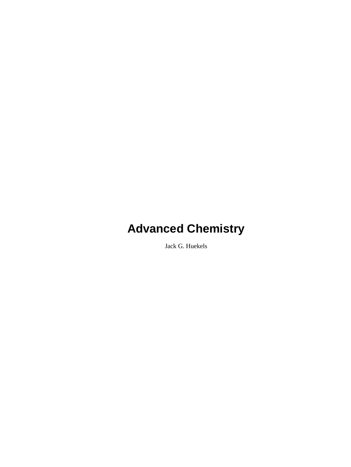Jack G. Huekels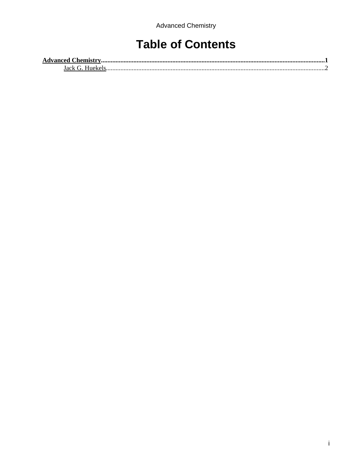# **Table of Contents**

| <b>Advanced Chemistry.</b> |  |
|----------------------------|--|
| Iack G-<br>Hueke           |  |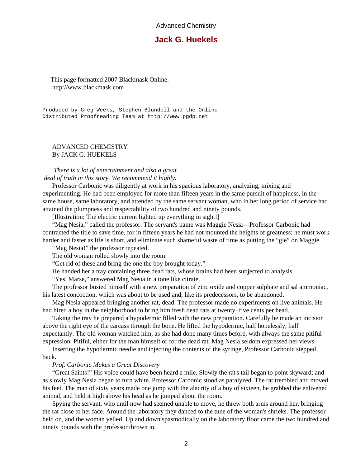## **Jack G. Huekels**

<span id="page-3-0"></span> This page formatted 2007 Blackmask Online. http://www.blackmask.com

Produced by Greg Weeks, Stephen Blundell and the Online Distributed Proofreading Team at http://www.pgdp.net

#### ADVANCED CHEMISTRY By JACK G. HUEKELS

#### *There is a lot of entertainment and also a great deal of truth in this story. We recommend it highly.*

 Professor Carbonic was diligently at work in his spacious laboratory, analyzing, mixing and experimenting. He had been employed for more than fifteen years in the same pursuit of happiness, in the same house, same laboratory, and attended by the same servant woman, who in her long period of service had attained the plumpness and respectability of two hundred and ninety pounds.

[Illustration: The electric current lighted up everything in sight!]

 "Mag Nesia," called the professor. The servant's name was Maggie Nesia—Professor Carbonic had contracted the title to save time, for in fifteen years he had not mounted the heights of greatness; he must work harder and faster as life is short, and eliminate such shameful waste of time as putting the "gie" on Maggie.

"Mag Nesia!" the professor repeated.

The old woman rolled slowly into the room.

"Get rid of these and bring the one the boy brought today."

He handed her a tray containing three dead rats, whose brains had been subjected to analysis.

"Yes, Marse," answered Mag Nesia in a tone like citrate.

 The professor busied himself with a new preparation of zinc oxide and copper sulphate and sal ammoniac, his latest concoction, which was about to be used and, like its predecessors, to be abandoned.

 Mag Nesia appeared bringing another rat, dead. The professor made no experiments on live animals. He had hired a boy in the neighborhood to bring him fresh dead rats at twenty−five cents per head.

 Taking the tray he prepared a hypodermic filled with the new preparation. Carefully he made an incision above the right eye of the carcass through the bone. He lifted the hypodermic, half hopelessly, half expectantly. The old woman watched him, as she had done many times before, with always the same pitiful expression. Pitiful, either for the man himself or for the dead rat. Mag Nesia seldom expressed her views.

 Inserting the hypodermic needle and injecting the contents of the syringe, Professor Carbonic stepped back.

#### *Prof. Carbonic Makes a Great Discovery*

 "Great Saints!" His voice could have been heard a mile. Slowly the rat's tail began to point skyward; and as slowly Mag Nesia began to turn white. Professor Carbonic stood as paralyzed. The rat trembled and moved his feet. The man of sixty years made one jump with the alacrity of a boy of sixteen, he grabbed the enlivened animal, and held it high above his head as he jumped about the room.

 Spying the servant, who until now had seemed unable to move, he threw both arms around her, bringing the rat close to her face. Around the laboratory they danced to the tune of the woman's shrieks. The professor held on, and the woman yelled. Up and down spasmodically on the laboratory floor came the two hundred and ninety pounds with the professor thrown in.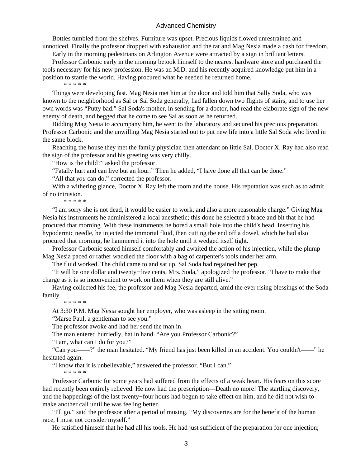Bottles tumbled from the shelves. Furniture was upset. Precious liquids flowed unrestrained and unnoticed. Finally the professor dropped with exhaustion and the rat and Mag Nesia made a dash for freedom.

Early in the morning pedestrians on Arlington Avenue were attracted by a sign in brilliant letters.

 Professor Carbonic early in the morning betook himself to the nearest hardware store and purchased the tools necessary for his new profession. He was an M.D. and his recently acquired knowledge put him in a position to startle the world. Having procured what he needed he returned home.

\* \* \* \* \*

 Things were developing fast. Mag Nesia met him at the door and told him that Sally Soda, who was known to the neighborhood as Sal or Sal Soda generally, had fallen down two flights of stairs, and to use her own words was "Putty bad." Sal Soda's mother, in sending for a doctor, had read the elaborate sign of the new enemy of death, and begged that he come to see Sal as soon as he returned.

 Bidding Mag Nesia to accompany him, he went to the laboratory and secured his precious preparation. Professor Carbonic and the unwilling Mag Nesia started out to put new life into a little Sal Soda who lived in the same block.

 Reaching the house they met the family physician then attendant on little Sal. Doctor X. Ray had also read the sign of the professor and his greeting was very chilly.

"How is the child?" asked the professor.

"Fatally hurt and can live but an hour." Then he added, "I have done all that can be done."

"All that *you* can do," corrected the professor.

With a withering glance, Doctor X. Ray left the room and the house. His reputation was such as to admit of no intrusion.

\* \* \* \* \*

 "I am sorry she is not dead, it would be easier to work, and also a more reasonable charge." Giving Mag Nesia his instruments he administered a local anesthetic; this done he selected a brace and bit that he had procured that morning. With these instruments he bored a small hole into the child's head. Inserting his hypodermic needle, he injected the immortal fluid, then cutting the end off a dowel, which he had also procured that morning, he hammered it into the hole until it wedged itself tight.

 Professor Carbonic seated himself comfortably and awaited the action of his injection, while the plump Mag Nesia paced or rather waddled the floor with a bag of carpenter's tools under her arm.

The fluid worked. The child came to and sat up. Sal Soda had regained her pep.

 "It will be one dollar and twenty−five cents, Mrs. Soda," apologized the professor. "I have to make that charge as it is so inconvenient to work on them when they are still alive."

 Having collected his fee, the professor and Mag Nesia departed, amid the ever rising blessings of the Soda family.

\* \* \* \* \*

At 3:30 P.M. Mag Nesia sought her employer, who was asleep in the sitting room.

"Marse Paul, a gentleman to see you."

The professor awoke and had her send the man in.

The man entered hurriedly, hat in hand. "Are you Professor Carbonic?"

"I am, what can I do for you?"

 "Can you——?" the man hesitated. "My friend has just been killed in an accident. You couldn't——" he hesitated again.

"I know that it is unbelievable," answered the professor. "But I can."

\* \* \* \* \*

 Professor Carbonic for some years had suffered from the effects of a weak heart. His fears on this score had recently been entirely relieved. He now had the prescription—Death no more! The startling discovery, and the happenings of the last twenty−four hours had begun to take effect on him, and he did not wish to make another call until he was feeling better.

 "I'll go," said the professor after a period of musing. "My discoveries are for the benefit of the human race, I must not consider myself."

He satisfied himself that he had all his tools. He had just sufficient of the preparation for one injection;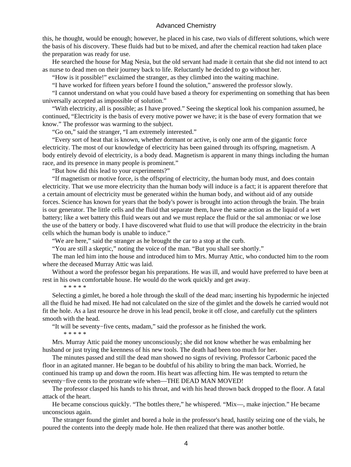this, he thought, would be enough; however, he placed in his case, two vials of different solutions, which were the basis of his discovery. These fluids had but to be mixed, and after the chemical reaction had taken place the preparation was ready for use.

 He searched the house for Mag Nesia, but the old servant had made it certain that she did not intend to act as nurse to dead men on their journey back to life. Reluctantly he decided to go without her.

"How is it possible!" exclaimed the stranger, as they climbed into the waiting machine.

"I have worked for fifteen years before I found the solution," answered the professor slowly.

 "I cannot understand on what you could have based a theory for experimenting on something that has been universally accepted as impossible of solution."

 "With electricity, all is possible; as I have proved." Seeing the skeptical look his companion assumed, he continued, "Electricity is the basis of every motive power we have; it is the base of every formation that we know." The professor was warming to the subject.

"Go on," said the stranger, "I am extremely interested."

 "Every sort of heat that is known, whether dormant or active, is only one arm of the gigantic force electricity. The most of our knowledge of electricity has been gained through its offspring, magnetism. A body entirely devoid of electricity, is a body dead. Magnetism is apparent in many things including the human race, and its presence in many people is prominent."

"But how did this lead to your experiments?"

 "If magnetism or motive force, is the offspring of electricity, the human body must, and does contain electricity. That we use more electricity than the human body will induce is a fact; it is apparent therefore that a certain amount of electricity must be generated within the human body, and without aid of any outside forces. Science has known for years that the body's power is brought into action through the brain. The brain is our generator. The little cells and the fluid that separate them, have the same action as the liquid of a wet battery; like a wet battery this fluid wears out and we must replace the fluid or the sal ammoniac or we lose the use of the battery or body. I have discovered what fluid to use that will produce the electricity in the brain cells which the human body is unable to induce."

"We are here," said the stranger as he brought the car to a stop at the curb.

"You are still a skeptic," noting the voice of the man. "But you shall see shortly."

 The man led him into the house and introduced him to Mrs. Murray Attic, who conducted him to the room where the deceased Murray Attic was laid.

 Without a word the professor began his preparations. He was ill, and would have preferred to have been at rest in his own comfortable house. He would do the work quickly and get away.

\* \* \* \* \*

 Selecting a gimlet, he bored a hole through the skull of the dead man; inserting his hypodermic he injected all the fluid he had mixed. He had not calculated on the size of the gimlet and the dowels he carried would not fit the hole. As a last resource he drove in his lead pencil, broke it off close, and carefully cut the splinters smooth with the head.

"It will be seventy−five cents, madam," said the professor as he finished the work.

\* \* \* \* \*

 Mrs. Murray Attic paid the money unconsciously; she did not know whether he was embalming her husband or just trying the keenness of his new tools. The death had been too much for her.

 The minutes passed and still the dead man showed no signs of reviving. Professor Carbonic paced the floor in an agitated manner. He began to be doubtful of his ability to bring the man back. Worried, he continued his tramp up and down the room. His heart was affecting him. He was tempted to return the seventy–five cents to the prostrate wife when—THE DEAD MAN MOVED!

 The professor clasped his hands to his throat, and with his head thrown back dropped to the floor. A fatal attack of the heart.

 He became conscious quickly. "The bottles there," he whispered. "Mix—, make injection." He became unconscious again.

 The stranger found the gimlet and bored a hole in the professor's head, hastily seizing one of the vials, he poured the contents into the deeply made hole. He then realized that there was another bottle.